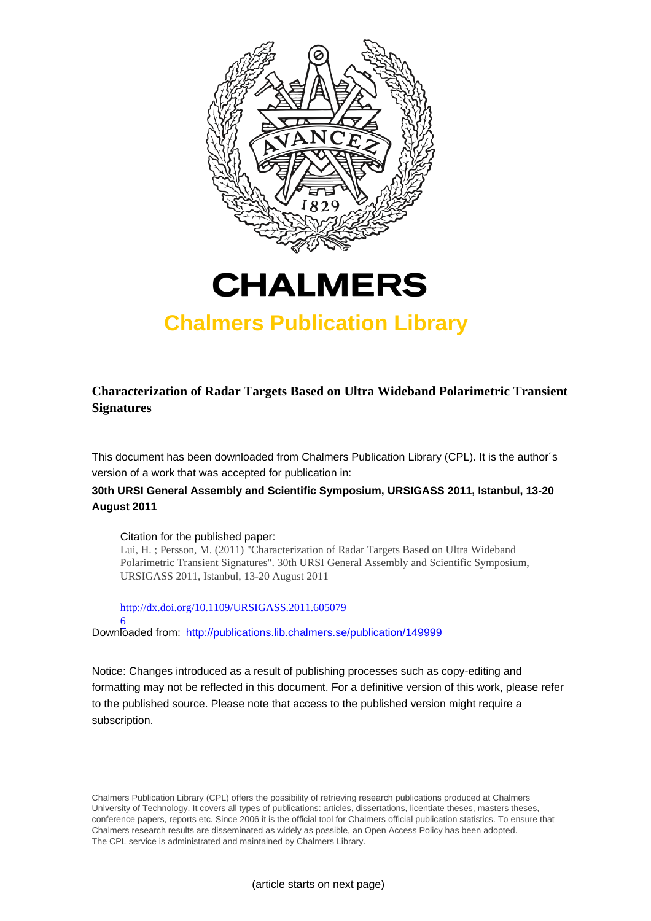



# **Chalmers Publication Library**

**Characterization of Radar Targets Based on Ultra Wideband Polarimetric Transient Signatures**

This document has been downloaded from Chalmers Publication Library (CPL). It is the author´s version of a work that was accepted for publication in:

**30th URSI General Assembly and Scientific Symposium, URSIGASS 2011, Istanbul, 13-20 August 2011**

### Citation for the published paper:

Lui, H. ; Persson, M. (2011) "Characterization of Radar Targets Based on Ultra Wideband Polarimetric Transient Signatures". 30th URSI General Assembly and Scientific Symposium, URSIGASS 2011, Istanbul, 13-20 August 2011

[http://dx.doi.org/10.1109/URSIGASS.2011.605079](http://dx.doi.org/10.1109/URSIGASS.2011.6050796)

[6](http://dx.doi.org/10.1109/URSIGASS.2011.6050796) Downloaded from: <http://publications.lib.chalmers.se/publication/149999>

Notice: Changes introduced as a result of publishing processes such as copy-editing and formatting may not be reflected in this document. For a definitive version of this work, please refer to the published source. Please note that access to the published version might require a subscription.

Chalmers Publication Library (CPL) offers the possibility of retrieving research publications produced at Chalmers University of Technology. It covers all types of publications: articles, dissertations, licentiate theses, masters theses, conference papers, reports etc. Since 2006 it is the official tool for Chalmers official publication statistics. To ensure that Chalmers research results are disseminated as widely as possible, an Open Access Policy has been adopted. The CPL service is administrated and maintained by Chalmers Library.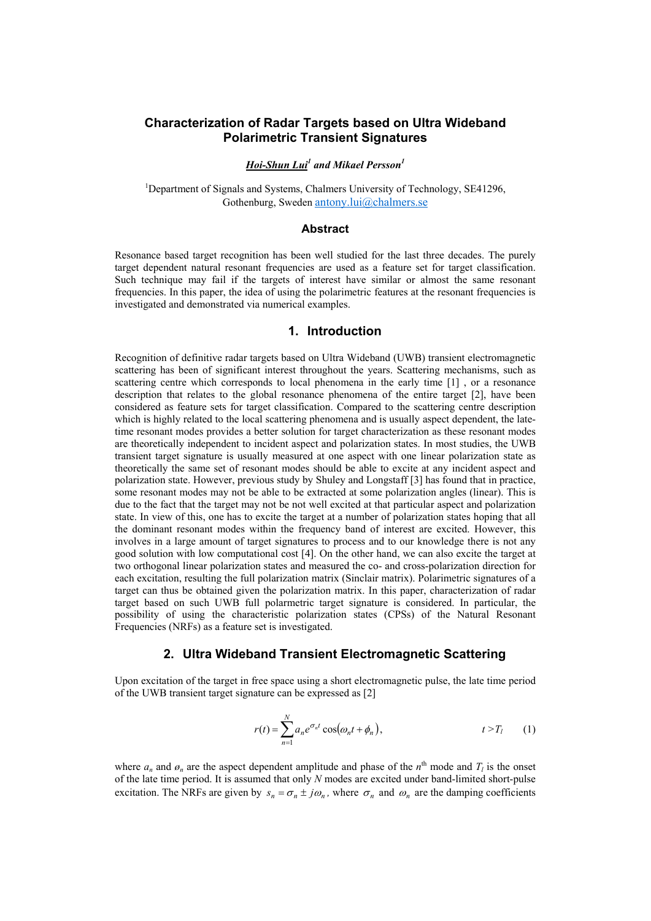# **Characterization of Radar Targets based on Ultra Wideband Polarimetric Transient Signatures**

### *Hoi-Shun Lui1 and Mikael Persson1*

<sup>1</sup>Department of Signals and Systems, Chalmers University of Technology, SE41296, Gothenburg, Sweden antony.lui@chalmers.se

#### **Abstract**

Resonance based target recognition has been well studied for the last three decades. The purely target dependent natural resonant frequencies are used as a feature set for target classification. Such technique may fail if the targets of interest have similar or almost the same resonant frequencies. In this paper, the idea of using the polarimetric features at the resonant frequencies is investigated and demonstrated via numerical examples.

#### **1. Introduction**

Recognition of definitive radar targets based on Ultra Wideband (UWB) transient electromagnetic scattering has been of significant interest throughout the years. Scattering mechanisms, such as scattering centre which corresponds to local phenomena in the early time [1] , or a resonance description that relates to the global resonance phenomena of the entire target [2], have been considered as feature sets for target classification. Compared to the scattering centre description which is highly related to the local scattering phenomena and is usually aspect dependent, the latetime resonant modes provides a better solution for target characterization as these resonant modes are theoretically independent to incident aspect and polarization states. In most studies, the UWB transient target signature is usually measured at one aspect with one linear polarization state as theoretically the same set of resonant modes should be able to excite at any incident aspect and polarization state. However, previous study by Shuley and Longstaff [3] has found that in practice, some resonant modes may not be able to be extracted at some polarization angles (linear). This is due to the fact that the target may not be not well excited at that particular aspect and polarization state. In view of this, one has to excite the target at a number of polarization states hoping that all the dominant resonant modes within the frequency band of interest are excited. However, this involves in a large amount of target signatures to process and to our knowledge there is not any good solution with low computational cost [4]. On the other hand, we can also excite the target at two orthogonal linear polarization states and measured the co- and cross-polarization direction for each excitation, resulting the full polarization matrix (Sinclair matrix). Polarimetric signatures of a target can thus be obtained given the polarization matrix. In this paper, characterization of radar target based on such UWB full polarmetric target signature is considered. In particular, the possibility of using the characteristic polarization states (CPSs) of the Natural Resonant Frequencies (NRFs) as a feature set is investigated.

## **2. Ultra Wideband Transient Electromagnetic Scattering**

Upon excitation of the target in free space using a short electromagnetic pulse, the late time period of the UWB transient target signature can be expressed as [2]

$$
r(t) = \sum_{n=1}^{N} a_n e^{\sigma_n t} \cos(\omega_n t + \phi_n), \qquad t > T_l \qquad (1)
$$

where  $a_n$  and  $\phi_n$  are the aspect dependent amplitude and phase of the  $n^{\text{th}}$  mode and  $T_l$  is the onset of the late time period. It is assumed that only *N* modes are excited under band-limited short-pulse excitation. The NRFs are given by  $s_n = \sigma_n \pm j\omega_n$ , where  $\sigma_n$  and  $\omega_n$  are the damping coefficients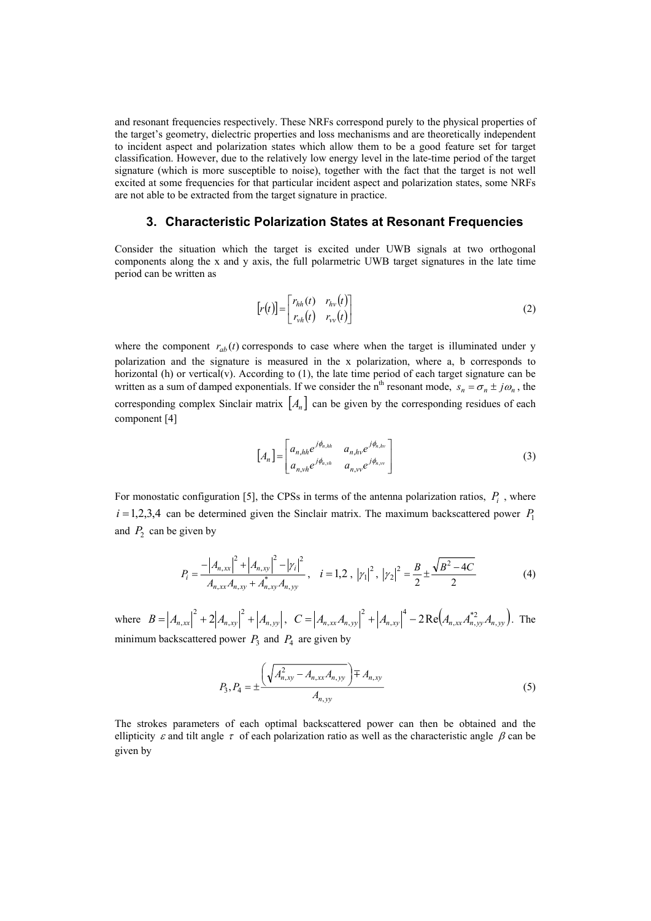and resonant frequencies respectively. These NRFs correspond purely to the physical properties of the target's geometry, dielectric properties and loss mechanisms and are theoretically independent to incident aspect and polarization states which allow them to be a good feature set for target classification. However, due to the relatively low energy level in the late-time period of the target signature (which is more susceptible to noise), together with the fact that the target is not well excited at some frequencies for that particular incident aspect and polarization states, some NRFs are not able to be extracted from the target signature in practice.

## **3. Characteristic Polarization States at Resonant Frequencies**

Consider the situation which the target is excited under UWB signals at two orthogonal components along the x and y axis, the full polarmetric UWB target signatures in the late time period can be written as

$$
[r(t)] = \begin{bmatrix} r_{hh}(t) & r_{hv}(t) \\ r_{vh}(t) & r_{vv}(t) \end{bmatrix}
$$
 (2)

where the component  $r_{ab}(t)$  corresponds to case where when the target is illuminated under y polarization and the signature is measured in the x polarization, where a, b corresponds to horizontal (h) or vertical(v). According to (1), the late time period of each target signature can be written as a sum of damped exponentials. If we consider the n<sup>th</sup> resonant mode,  $s_n = \sigma_n \pm j\omega_n$ , the corresponding complex Sinclair matrix  $[A_n]$  can be given by the corresponding residues of each component [4]

$$
[A_n] = \begin{bmatrix} a_{n,hh} e^{j\phi_{n,hh}} & a_{n,hv} e^{j\phi_{n,hv}} \\ a_{n,vh} e^{j\phi_{n,vh}} & a_{n,vv} e^{j\phi_{n,vv}} \end{bmatrix}
$$
 (3)

For monostatic configuration [5], the CPSs in terms of the antenna polarization ratios,  $P_i$ , where  $i = 1,2,3,4$  can be determined given the Sinclair matrix. The maximum backscattered power  $P_1$ and  $P_2$  can be given by

$$
P_{i} = \frac{-|A_{n,xx}|^{2} + |A_{n,xy}|^{2} - |\gamma_{i}|^{2}}{A_{n,xx}A_{n,xy} + A_{n,xy}^{*}A_{n,yy}}, \quad i = 1,2, |\gamma_{1}|^{2}, |\gamma_{2}|^{2} = \frac{B}{2} \pm \frac{\sqrt{B^{2} - 4C}}{2}
$$
(4)

where  $B = |A_{n,xx}|^2 + 2|A_{n,xy}|^2 + |A_{n,yy}|^2$ ,  $= |A_{n,xx}|^2 + 2|A_{n,xy}|^2 + |A_{n,yy}|$ ,  $C = |A_{n,xx}A_{n,yy}|^2 + |A_{n,xy}|^4 - 2Re(A_{n,xx}A_{n,yy}^*)A_{n,yy}$ 4 ,  $=\left|A_{n,xx}A_{n,yy}\right|^2+\left|A_{n,xy}\right|^4-2\operatorname{Re}\left(A_{n,xx}A_{n,yy}^{*2}A_{n,yy}\right).$  The minimum backscattered power  $P_3$  and  $P_4$  are given by

$$
P_3, P_4 = \pm \frac{\left(\sqrt{A_{n,xy}^2 - A_{n,xx}A_{n,yy}}\right) \mp A_{n,xy}}{A_{n,yy}}
$$
\n<sup>(5)</sup>

The strokes parameters of each optimal backscattered power can then be obtained and the ellipticity  $\varepsilon$  and tilt angle  $\tau$  of each polarization ratio as well as the characteristic angle  $\beta$  can be given by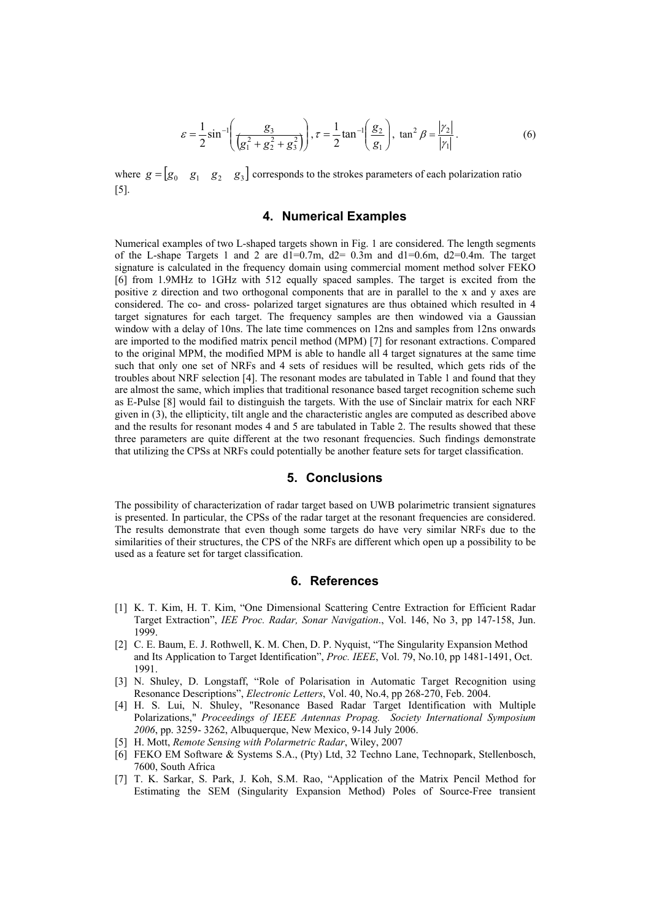$$
\varepsilon = \frac{1}{2} \sin^{-1} \left( \frac{g_3}{\left(g_1^2 + g_2^2 + g_3^2\right)} \right), \tau = \frac{1}{2} \tan^{-1} \left( \frac{g_2}{g_1} \right), \tan^2 \beta = \frac{|\gamma_2|}{|\gamma_1|}. \tag{6}
$$

where  $g = [g_0 \ g_1 \ g_2 \ g_3]$  corresponds to the strokes parameters of each polarization ratio [5].

## **4. Numerical Examples**

Numerical examples of two L-shaped targets shown in Fig. 1 are considered. The length segments of the L-shape Targets 1 and 2 are  $dl=0.7m$ ,  $d2=0.3m$  and  $dl=0.6m$ ,  $d2=0.4m$ . The target signature is calculated in the frequency domain using commercial moment method solver FEKO [6] from 1.9MHz to 1GHz with 512 equally spaced samples. The target is excited from the positive z direction and two orthogonal components that are in parallel to the x and y axes are considered. The co- and cross- polarized target signatures are thus obtained which resulted in 4 target signatures for each target. The frequency samples are then windowed via a Gaussian window with a delay of 10ns. The late time commences on 12ns and samples from 12ns onwards are imported to the modified matrix pencil method (MPM) [7] for resonant extractions. Compared to the original MPM, the modified MPM is able to handle all 4 target signatures at the same time such that only one set of NRFs and 4 sets of residues will be resulted, which gets rids of the troubles about NRF selection [4]. The resonant modes are tabulated in Table 1 and found that they are almost the same, which implies that traditional resonance based target recognition scheme such as E-Pulse [8] would fail to distinguish the targets. With the use of Sinclair matrix for each NRF given in (3), the ellipticity, tilt angle and the characteristic angles are computed as described above and the results for resonant modes 4 and 5 are tabulated in Table 2. The results showed that these three parameters are quite different at the two resonant frequencies. Such findings demonstrate that utilizing the CPSs at NRFs could potentially be another feature sets for target classification.

#### **5. Conclusions**

The possibility of characterization of radar target based on UWB polarimetric transient signatures is presented. In particular, the CPSs of the radar target at the resonant frequencies are considered. The results demonstrate that even though some targets do have very similar NRFs due to the similarities of their structures, the CPS of the NRFs are different which open up a possibility to be used as a feature set for target classification.

#### **6. References**

- [1] K. T. Kim, H. T. Kim, "One Dimensional Scattering Centre Extraction for Efficient Radar Target Extraction", *IEE Proc. Radar, Sonar Navigation*., Vol. 146, No 3, pp 147-158, Jun. 1999.
- [2] C. E. Baum, E. J. Rothwell, K. M. Chen, D. P. Nyquist, "The Singularity Expansion Method and Its Application to Target Identification", *Proc. IEEE*, Vol. 79, No.10, pp 1481-1491, Oct. 1991.
- [3] N. Shuley, D. Longstaff, "Role of Polarisation in Automatic Target Recognition using Resonance Descriptions", *Electronic Letters*, Vol. 40, No.4, pp 268-270, Feb. 2004.
- [4] H. S. Lui, N. Shuley, "Resonance Based Radar Target Identification with Multiple Polarizations," *Proceedings of IEEE Antennas Propag. Society International Symposium 2006*, pp. 3259- 3262, Albuquerque, New Mexico, 9-14 July 2006.
- [5] H. Mott, *Remote Sensing with Polarmetric Radar*, Wiley, 2007
- [6] FEKO EM Software & Systems S.A., (Pty) Ltd, 32 Techno Lane, Technopark, Stellenbosch, 7600, South Africa
- [7] T. K. Sarkar, S. Park, J. Koh, S.M. Rao, "Application of the Matrix Pencil Method for Estimating the SEM (Singularity Expansion Method) Poles of Source-Free transient